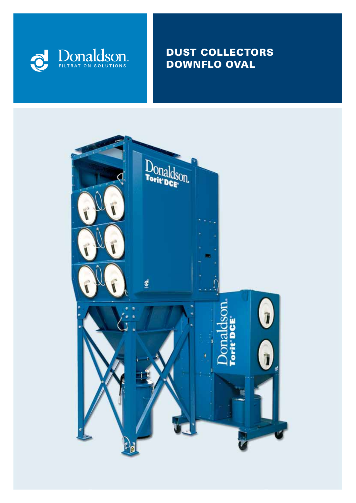

# DUST COLLECTORS DOWNFLO OVAL

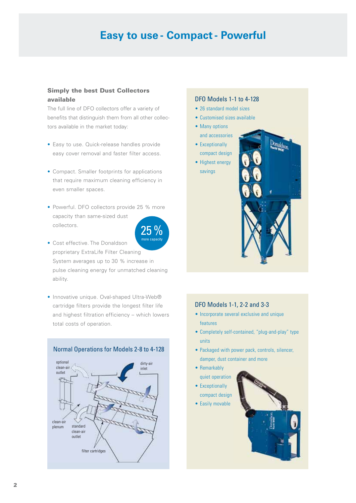# **Easy to use - Compact - Powerful**

## Simply the best Dust Collectors available

The full line of DFO collectors offer a variety of benefits that distinguish them from all other collectors available in the market today:

- Easy to use. Quick-release handles provide easy cover removal and faster filter access.
- Compact. Smaller footprints for applications that require maximum cleaning efficiency in even smaller spaces.
- Powerful. DFO collectors provide 25 % more capacity than same-sized dust collectors.



- Cost effective. The Donaldson proprietary ExtraLife Filter Cleaning System averages up to 30 % increase in pulse cleaning energy for unmatched cleaning ability.
- Innovative unique. Oval-shaped Ultra-Web® cartridge filters provide the longest filter life and highest filtration efficiency – which lowers total costs of operation.



#### DFO Models 1-1 to 4-128

- 26 standard model sizes
- • Customised sizes available
- Many options and accessories
- Exceptionally compact design
- Highest energy savings



### DFO Models 1-1, 2-2 and 3-3

- Incorporate several exclusive and unique features
- Completely self-contained, "plug-and-play" type units
- Packaged with power pack, controls, silencer, damper, dust container and more
- Remarkably quiet operation
- Exceptionally compact design
- Easily movable

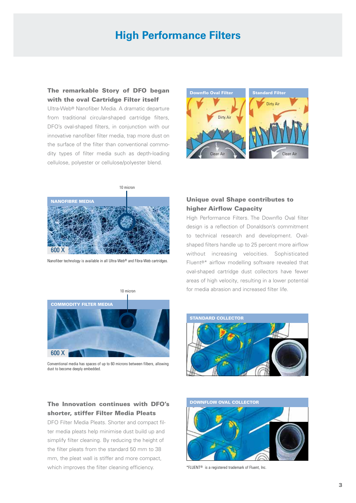# **High Performance Filters**

## The remarkable Story of DFO began with the oval Cartridge Filter itself

Ultra-Web® Nanofiber Media. A dramatic departure from traditional circular-shaped cartridge filters, DFO's oval-shaped filters, in conjunction with our innovative nanofiber filter media, trap more dust on the surface of the filter than conventional commodity types of filter media such as depth-loading cellulose, polyester or cellulose/polyester blend.





Nanofiber technology is available in all Ultra-Web® and Fibra-Web cartridges.



Conventional media has spaces of up to 60 microns between filbers, allowing dust to become deeply embedded

## The Innovation continues with DFO's shorter, stiffer Filter Media Pleats

DFO Filter Media Pleats. Shorter and compact filter media pleats help minimise dust build up and simplify filter cleaning. By reducing the height of the filter pleats from the standard 50 mm to 38 mm, the pleat wall is stiffer and more compact, which improves the filter cleaning efficiency.

## Unique oval Shape contributes to higher Airflow Capacity

High Performance Filters. The Downflo Oval filter design is a reflection of Donaldson's commitment to technical research and development. Ovalshaped filters handle up to 25 percent more airflow without increasing velocities. Sophisticated Fluent®\* airflow modelling software revealed that oval-shaped cartridge dust collectors have fewer areas of high velocity, resulting in a lower potential for media abrasion and increased filter life.





\*FLUENT® is a registered trademark of Fluent, Inc.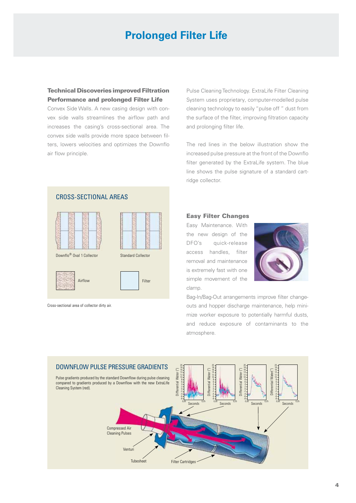# **Prolonged Filter Life**

## Technical Discoveries improved Filtration Performance and prolonged Filter Life

Convex Side Walls. A new casing design with convex side walls streamlines the airflow path and increases the casing's cross-sectional area. The convex side walls provide more space between filters, lowers velocities and optimizes the Downflo air flow principle.

Pulse Cleaning Technology. ExtraLife Filter Cleaning System uses proprietary, computer-modelled pulse cleaning technology to easily "pulse off " dust from the surface of the filter, improving filtration capacity and prolonging filter life.

The red lines in the below illustration show the increased pulse pressure at the front of the Downflo filter generated by the ExtraLife system. The blue line shows the pulse signature of a standard cartridge collector.



Cross-sectional area of collector dirty air.

#### Easy Filter Changes

Easy Maintenance. With the new design of the DFO's quick-release access handles, filter removal and maintenance is extremely fast with one simple movement of the clamp.



Bag-In/Bag-Out arrangements improve filter changeouts and hopper discharge maintenance, help minimize worker exposure to potentially harmful dusts, and reduce exposure of contaminants to the atmosphere.

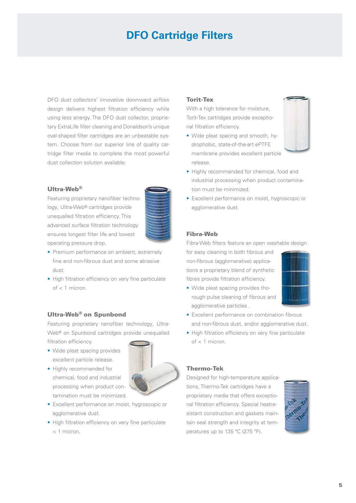# **DFO Cartridge Filters**

DFO dust collectors' innovative downward airflow design delivers highest filtration efficiency while using less energy. The DFO dust collector, proprietary ExtraLife filter cleaning and Donaldson's unique oval-shaped filter cartridges are an unbeatable system. Choose from our superior line of quality cartridge filter media to complete the most powerful dust collection solution available:

#### Ultra-Web®

Featuring proprietary nanofiber technology, Ultra-Web® cartridges provide unequalled filtration efficiency. This advanced surface filtration technology ensures longest filter life and lowest operating pressure drop.



- Premium performance on ambient, extremely fine and non-fibrous dust and some abrasive dust.
- High filtration efficiency on very fine particulate of < 1 micron.

## Ultra-Web® on Spunbond

Featuring proprietary nanofiber technology, Ultra-Web® on Spunbond cartridges provide unequalled filtration efficiency.

- Wide pleat spacing provides excellent particle release.
- Highly recommended for chemical, food and industrial processing when product contamination must be minimized.



- Excellent performance on moist, hygroscopic or agglomerative dust.
- High filtration efficiency on very fine particulate < 1 micron.

#### Torit-Tex

With a high tolerance for moisture, Torit-Tex cartridges provide exceptional filtration efficiency.

• Wide pleat spacing and smooth, hydrophobic, state-of-the-art ePTFE membrane provides excellent particle release.



- Highly recommended for chemical, food and industrial processing when product contamination must be minimized.
- Excellent performance on moist, hygroscopic or agglomerative dust.

#### Fibra-Web

Fibra-Web filters feature an open washable design

for easy cleaning in both fibrous and non-fibrous (agglomerative) applications a proprietary blend of synthetic fibres provide filtration efficiency.

• Wide pleat spacing provides thorough pulse cleaning of fibrous and agglomerative particles .



- Excellent performance on combination fibrous and non-fibrous dust, and/or agglomerative dust.
- High filtration efficiency on very fine particulate of < 1 micron.

#### Thermo-Tek

Designed for high-temperature applications, Thermo-Tek cartridges have a proprietary media that offers exceptional filtration efficiency. Special heatresistant construction and gaskets maintain seal strength and integrity at temperatures up to 135 ºC (275 ºF).